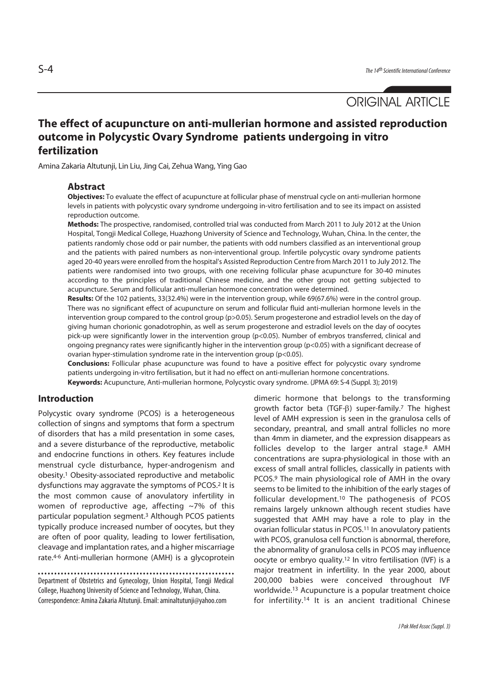# ORIGINAL ARTICLE

# **The effect of acupuncture on anti-mullerian hormone and assisted reproduction outcome in Polycystic Ovary Syndrome patients undergoing in vitro fertilization**

Amina Zakaria Altutunji, Lin Liu, Jing Cai, Zehua Wang, Ying Gao

#### **Abstract**

**Objectives:** To evaluate the effect of acupuncture at follicular phase of menstrual cycle on anti-mullerian hormone levels in patients with polycystic ovary syndrome undergoing in-vitro fertilisation and to see its impact on assisted reproduction outcome.

**Methods:** The prospective, randomised, controlled trial was conducted from March 2011 to July 2012 at the Union Hospital, Tongji Medical College, Huazhong University of Science and Technology, Wuhan, China. In the center, the patients randomly chose odd or pair number, the patients with odd numbers classified as an interventional group and the patients with paired numbers as non-interventional group. Infertile polycystic ovary syndrome patients aged 20-40 years were enrolled from the hospital's Assisted Reproduction Centre from March 2011 to July 2012. The patients were randomised into two groups, with one receiving follicular phase acupuncture for 30-40 minutes according to the principles of traditional Chinese medicine, and the other group not getting subjected to acupuncture. Serum and follicular anti-mullerian hormone concentration were determined.

**Results:** Of the 102 patients, 33(32.4%) were in the intervention group, while 69(67.6%) were in the control group. There was no significant effect of acupuncture on serum and follicular fluid anti-mullerian hormone levels in the intervention group compared to the control group (p>0.05). Serum progesterone and estradiol levels on the day of giving human chorionic gonadotrophin, as well as serum progesterone and estradiol levels on the day of oocytes pick-up were significantly lower in the intervention group (p<0.05). Number of embryos transferred, clinical and ongoing pregnancy rates were significantly higher in the intervention group ( $p$ <0.05) with a significant decrease of ovarian hyper-stimulation syndrome rate in the intervention group (p<0.05).

**Conclusions:** Follicular phase acupuncture was found to have a positive effect for polycystic ovary syndrome patients undergoing in-vitro fertilisation, but it had no effect on anti-mullerian hormone concentrations. **Keywords:** Acupuncture, Anti-mullerian hormone, Polycystic ovary syndrome. (JPMA 69: S-4 (Suppl. 3); 2019)

## **Introduction**

Polycystic ovary syndrome (PCOS) is a heterogeneous collection of singns and symptoms that form a spectrum of disorders that has a mild presentation in some cases, and a severe disturbance of the reproductive, metabolic and endocrine functions in others. Key features include menstrual cycle disturbance, hyper-androgenism and obesity.1 Obesity-associated reproductive and metabolic dysfunctions may aggravate the symptoms of PCOS.2 It is the most common cause of anovulatory infertility in women of reproductive age, affecting ~7% of this particular population segment.3 Although PCOS patients typically produce increased number of oocytes, but they are often of poor quality, leading to lower fertilisation, cleavage and implantation rates, and a higher miscarriage rate.4-6 Anti-mullerian hormone (AMH) is a glycoprotein

Department of Obstetrics and Gynecology, Union Hospital, Tongji Medical College, Huazhong University of Science and Technology, Wuhan, China. Correspondence: Amina Zakaria Altutunji. Email: aminaltutunji@yahoo.com

dimeric hormone that belongs to the transforming growth factor beta (TGF-β) super-family.7 The highest level of AMH expression is seen in the granulosa cells of secondary, preantral, and small antral follicles no more than 4mm in diameter, and the expression disappears as follicles develop to the larger antral stage.8 AMH concentrations are supra-physiological in those with an excess of small antral follicles, classically in patients with PCOS.9 The main physiological role of AMH in the ovary seems to be limited to the inhibition of the early stages of follicular development.10 The pathogenesis of PCOS remains largely unknown although recent studies have suggested that AMH may have a role to play in the ovarian follicular status in PCOS.11 In anovulatory patients with PCOS, granulosa cell function is abnormal, therefore, the abnormality of granulosa cells in PCOS may influence oocyte or embryo quality.12 In vitro fertilisation (IVF) is a major treatment in infertility. In the year 2000, about 200,000 babies were conceived throughout IVF worldwide.13 Acupuncture is a popular treatment choice for infertility.14 It is an ancient traditional Chinese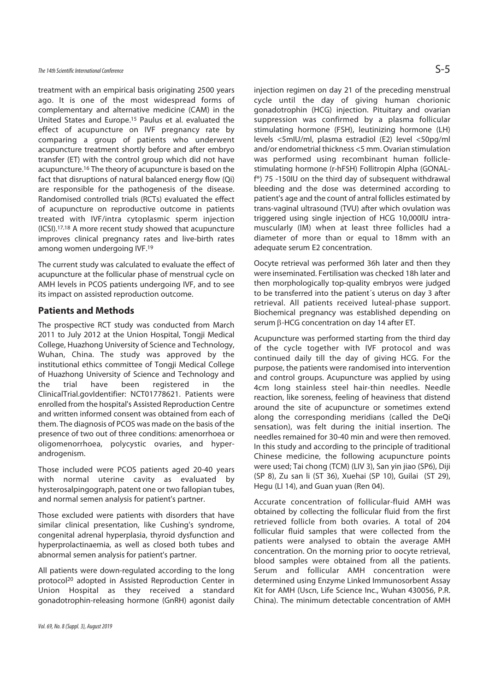treatment with an empirical basis originating 2500 years ago. It is one of the most widespread forms of complementary and alternative medicine (CAM) in the United States and Europe.15 Paulus et al. evaluated the effect of acupuncture on IVF pregnancy rate by comparing a group of patients who underwent acupuncture treatment shortly before and after embryo transfer (ET) with the control group which did not have acupuncture.16 The theory of acupuncture is based on the fact that disruptions of natural balanced energy flow (Qi) are responsible for the pathogenesis of the disease. Randomised controlled trials (RCTs) evaluated the effect of acupuncture on reproductive outcome in patients treated with IVF/intra cytoplasmic sperm injection (ICSI).17,18 A more recent study showed that acupuncture improves clinical pregnancy rates and live-birth rates among women undergoing IVF.19

The current study was calculated to evaluate the effect of acupuncture at the follicular phase of menstrual cycle on AMH levels in PCOS patients undergoing IVF, and to see its impact on assisted reproduction outcome.

#### **Patients and Methods**

The prospective RCT study was conducted from March 2011 to July 2012 at the Union Hospital, Tongji Medical College, Huazhong University of Science and Technology, Wuhan, China. The study was approved by the institutional ethics committee of Tongji Medical College of Huazhong University of Science and Technology and the trial have been registered in the ClinicalTrial.govIdentifier: NCT01778621. Patients were enrolled from the hospital's Assisted Reproduction Centre and written informed consent was obtained from each of them. The diagnosis of PCOS was made on the basis of the presence of two out of three conditions: amenorrhoea or oligomenorrhoea, polycystic ovaries, and hyperandrogenism.

Those included were PCOS patients aged 20-40 years with normal uterine cavity as evaluated by hysterosalpingograph, patent one or two fallopian tubes, and normal semen analysis for patient's partner.

Those excluded were patients with disorders that have similar clinical presentation, like Cushing's syndrome, congenital adrenal hyperplasia, thyroid dysfunction and hyperprolactinaemia, as well as closed both tubes and abnormal semen analysis for patient's partner.

All patients were down-regulated according to the long protocol20 adopted in Assisted Reproduction Center in Union Hospital as they received a standard gonadotrophin-releasing hormone (GnRH) agonist daily injection regimen on day 21 of the preceding menstrual cycle until the day of giving human chorionic gonadotrophin (HCG) injection. Pituitary and ovarian suppression was confirmed by a plasma follicular stimulating hormone (FSH), leutinizing hormone (LH)

levels <5mIU/ml, plasma estradiol (E2) level <50pg/ml and/or endometrial thickness <5 mm. Ovarian stimulation was performed using recombinant human folliclestimulating hormone (r-hFSH) Follitropin Alpha (GONALf®) 75 -150IU on the third day of subsequent withdrawal bleeding and the dose was determined according to patient's age and the count of antral follicles estimated by trans-vaginal ultrasound (TVU) after which ovulation was triggered using single injection of HCG 10,000IU intramuscularly (IM) when at least three follicles had a diameter of more than or equal to 18mm with an adequate serum E2 concentration.

Oocyte retrieval was performed 36h later and then they were inseminated. Fertilisation was checked 18h later and then morphologically top-quality embryos were judged to be transferred into the patient´s uterus on day 3 after retrieval. All patients received luteal-phase support. Biochemical pregnancy was established depending on serum β-HCG concentration on day 14 after ET.

Acupuncture was performed starting from the third day of the cycle together with IVF protocol and was continued daily till the day of giving HCG. For the purpose, the patients were randomised into intervention and control groups. Acupuncture was applied by using 4cm long stainless steel hair-thin needles. Needle reaction, like soreness, feeling of heaviness that distend around the site of acupuncture or sometimes extend along the corresponding meridians (called the DeQi sensation), was felt during the initial insertion. The needles remained for 30-40 min and were then removed. In this study and according to the principle of traditional Chinese medicine, the following acupuncture points were used; Tai chong (TCM) (LIV 3), San yin jiao (SP6), Diji (SP 8), Zu san li (ST 36), Xuehai (SP 10), Guilai (ST 29), Hegu (LI 14), and Guan yuan (Ren 04).

Accurate concentration of follicular-fluid AMH was obtained by collecting the follicular fluid from the first retrieved follicle from both ovaries. A total of 204 follicular fluid samples that were collected from the patients were analysed to obtain the average AMH concentration. On the morning prior to oocyte retrieval, blood samples were obtained from all the patients. Serum and follicular AMH concentration were determined using Enzyme Linked Immunosorbent Assay Kit for AMH (Uscn, Life Science Inc., Wuhan 430056, P.R. China). The minimum detectable concentration of AMH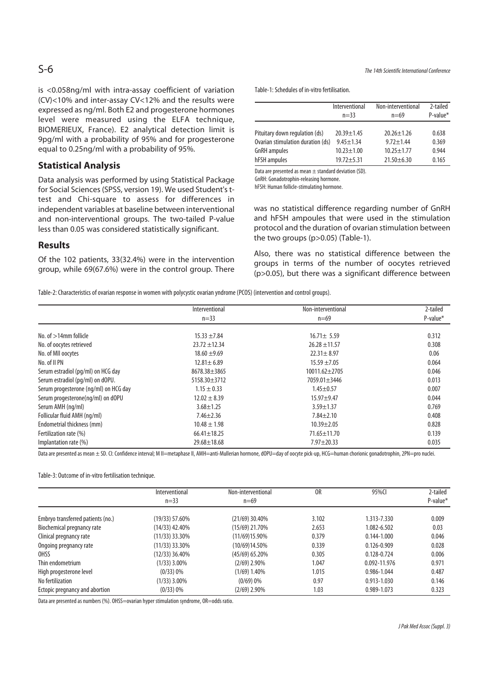is <0.058ng/ml with intra-assay coefficient of variation (CV)<10% and inter-assay CV<12% and the results were expressed as ng/ml. Both E2 and progesterone hormones level were measured using the ELFA technique, BIOMERIEUX, France). E2 analytical detection limit is 9pg/ml with a probability of 95% and for progesterone equal to 0.25ng/ml with a probability of 95%.

# **Statistical Analysis**

Data analysis was performed by using Statistical Package for Social Sciences (SPSS, version 19). We used Student's ttest and Chi-square to assess for differences in independent variables at baseline between interventional and non-interventional groups. The two-tailed P-value less than 0.05 was considered statistically significant.

#### **Results**

Of the 102 patients, 33(32.4%) were in the intervention group, while 69(67.6%) were in the control group. There Table-1: Schedules of in-vitro fertilisation.

|                                   | Interventional<br>$n = 33$ | Non-interventional<br>$n=69$ | 2-tailed<br>P-value* |
|-----------------------------------|----------------------------|------------------------------|----------------------|
| Pituitary down regulation (ds)    | $20.39 + 1.45$             | $20.26 \pm 1.26$             | 0.638                |
| Ovarian stimulation duration (ds) | $9.45 \pm 1.34$            | $9.72 \pm 1.44$              | 0.369                |
| <b>GnRH</b> ampules               | $10.23 + 1.00$             | $10.25 \pm 1.77$             | 0.944                |
| hFSH ampules                      | $19.72 + 5.31$             | $21.50 \pm 6.30$             | 0.165                |

Data are presented as mean  $\pm$  standard deviation (SD).

GnRH: Gonadotrophin-releasing hormone.

hFSH: Human follicle-stimulating hormone.

was no statistical difference regarding number of GnRH and hFSH ampoules that were used in the stimulation protocol and the duration of ovarian stimulation between the two groups (p>0.05) (Table-1).

Also, there was no statistical difference between the groups in terms of the number of oocytes retrieved (p>0.05), but there was a significant difference between

Table-2: Characteristics of ovarian response in women with polycystic ovarian yndrome (PCOS) (intervention and control groups).

|                                       | Interventional     | Non-interventional  | 2-tailed |  |
|---------------------------------------|--------------------|---------------------|----------|--|
|                                       | $n=33$             | $n=69$              | P-value* |  |
| No. of $>14$ mm follicle              | $15.33 + 7.84$     | $16.71 \pm 5.59$    | 0.312    |  |
| No. of oocytes retrieved              | $23.72 + 12.34$    | $26.28 \pm 11.57$   | 0.308    |  |
| No. of MII oocytes                    | $18.60 \pm 9.69$   | $22.31 \pm 8.97$    | 0.06     |  |
| No. of II PN                          | $12.81 \pm 6.89$   | $15.59 \pm 7.05$    | 0.064    |  |
| Serum estradiol (pg/ml) on HCG day    | 8678.38±3865       | $10011.62 \pm 2705$ | 0.046    |  |
| Serum estradiol (pq/ml) on dOPU.      | $5158.30 \pm 3712$ | 7059.01 ± 3446      | 0.013    |  |
| Serum progesterone (ng/ml) on HCG day | $1.15 \pm 0.33$    | $1.45 \pm 0.57$     | 0.007    |  |
| Serum progesterone(ng/ml) on dOPU     | $12.02 \pm 8.39$   | $15.97 + 9.47$      | 0.044    |  |
| Serum AMH (ng/ml)                     | $3.68 \pm 1.25$    | $3.59 \pm 1.37$     | 0.769    |  |
| Follicular fluid AMH (ng/ml)          | $7.46 \pm 2.36$    | $7.84 \pm 2.10$     | 0.408    |  |
| Endometrial thickness (mm)            | $10.48 \pm 1.98$   | $10.39 \pm 2.05$    | 0.828    |  |
| Fertilization rate (%)                | $66.41 \pm 18.25$  | $71.65 \pm 11.70$   | 0.139    |  |
| Implantation rate (%)                 | $29.68 \pm 18.68$  | $7.97 \pm 20.33$    | 0.035    |  |

Data are presented as mean ± SD. CI: Confidence interval; M II=metaphase II, AMH=anti-Mullerian hormone, dOPU=day of oocyte pick-up, HCG=human chorionic gonadotrophin, 2PN=pro nuclei.

Table-3: Outcome of in-vitro fertilisation technique.

|                                   | Interventional   | Non-interventional | 0R    | 95%CI           | 2-tailed    |
|-----------------------------------|------------------|--------------------|-------|-----------------|-------------|
|                                   | $n=33$           | $n=69$             |       |                 | $P$ -value* |
| Embryo transferred patients (no.) | $(19/33)$ 57.60% | $(21/69)$ 30.40%   | 3.102 | 1.313-7.330     | 0.009       |
| Biochemical pregnancy rate        | $(14/33)$ 42.40% | $(15/69)$ 21.70%   | 2.653 | 1.082-6.502     | 0.03        |
| Clinical pregnancy rate           | $(11/33)$ 33.30% | $(11/69)15.90\%$   | 0.379 | $0.144 - 1.000$ | 0.046       |
| Ongoing pregnancy rate            | $(11/33)$ 33.30% | (10/69)14.50%      | 0.339 | 0.126-0.909     | 0.028       |
| OHSS                              | $(12/33)$ 36.40% | $(45/69)$ 65.20%   | 0.305 | 0.128-0.724     | 0.006       |
| Thin endometrium                  | $(1/33)$ 3.00%   | $(2/69)$ 2.90%     | 1.047 | 0.092-11.976    | 0.971       |
| High progesterone level           | $(0/33) 0\%$     | $(1/69)$ 1.40%     | 1.015 | 0.986-1.044     | 0.487       |
| No fertilization                  | (1/33) 3.00%     | $(0/69)$ 0%        | 0.97  | 0.913-1.030     | 0.146       |
| Ectopic pregnancy and abortion    | (0/33) 0%        | (2/69) 2.90%       | 1.03  | 0.989-1.073     | 0.323       |

Data are presented as numbers (%). OHSS=ovarian hyper stimulation syndrome, OR=odds ratio.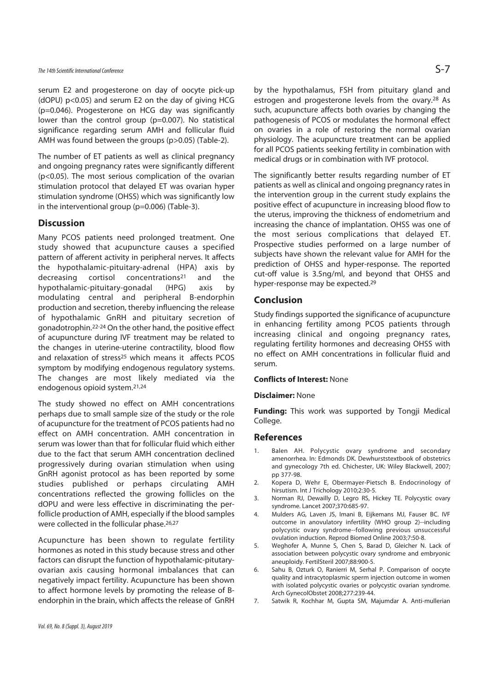# The 14th Scientific International Conference  $S$ -7

serum E2 and progesterone on day of oocyte pick-up (dOPU) p<0.05) and serum E2 on the day of giving HCG (p=0.046). Progesterone on HCG day was significantly lower than the control group (p=0.007). No statistical significance regarding serum AMH and follicular fluid AMH was found between the groups (p>0.05) (Table-2).

The number of ET patients as well as clinical pregnancy and ongoing pregnancy rates were significantly different (p<0.05). The most serious complication of the ovarian stimulation protocol that delayed ET was ovarian hyper stimulation syndrome (OHSS) which was significantly low in the interventional group (p=0.006) (Table-3).

#### **Discussion**

Many PCOS patients need prolonged treatment. One study showed that acupuncture causes a specified pattern of afferent activity in peripheral nerves. It affects the hypothalamic-pituitary-adrenal (HPA) axis by decreasing cortisol concentrations21 and the hypothalamic-pituitary-gonadal (HPG) axis by modulating central and peripheral B-endorphin production and secretion, thereby influencing the release of hypothalamic GnRH and pituitary secretion of gonadotrophin.22-24 On the other hand, the positive effect of acupuncture during IVF treatment may be related to the changes in uterine-uterine contractility, blood flow and relaxation of stress<sup>25</sup> which means it affects PCOS symptom by modifying endogenous regulatory systems. The changes are most likely mediated via the endogenous opioid system.21,24

The study showed no effect on AMH concentrations perhaps due to small sample size of the study or the role of acupuncture for the treatment of PCOS patients had no effect on AMH concentration. AMH concentration in serum was lower than that for follicular fluid which either due to the fact that serum AMH concentration declined progressively during ovarian stimulation when using GnRH agonist protocol as has been reported by some studies published or perhaps circulating AMH concentrations reflected the growing follicles on the dOPU and were less effective in discriminating the perfollicle production of AMH, especially if the blood samples were collected in the follicular phase.<sup>26,27</sup>

Acupuncture has been shown to regulate fertility hormones as noted in this study because stress and other factors can disrupt the function of hypothalamic-pitutaryovarian axis causing hormonal imbalances that can negatively impact fertility. Acupuncture has been shown to affect hormone levels by promoting the release of Bendorphin in the brain, which affects the release of GnRH by the hypothalamus, FSH from pituitary gland and estrogen and progesterone levels from the ovary.<sup>28</sup> As such, acupuncture affects both ovaries by changing the pathogenesis of PCOS or modulates the hormonal effect on ovaries in a role of restoring the normal ovarian physiology. The acupuncture treatment can be applied for all PCOS patients seeking fertility in combination with medical drugs or in combination with IVF protocol.

The significantly better results regarding number of ET patients as well as clinical and ongoing pregnancy rates in the intervention group in the current study explains the positive effect of acupuncture in increasing blood flow to the uterus, improving the thickness of endometrium and increasing the chance of implantation. OHSS was one of the most serious complications that delayed ET. Prospective studies performed on a large number of subjects have shown the relevant value for AMH for the prediction of OHSS and hyper-response. The reported cut-off value is 3.5ng/ml, and beyond that OHSS and hyper-response may be expected.29

## **Conclusion**

Study findings supported the significance of acupuncture in enhancing fertility among PCOS patients through increasing clinical and ongoing pregnancy rates, regulating fertility hormones and decreasing OHSS with no effect on AMH concentrations in follicular fluid and serum.

#### **Conflicts of Interest:** None

#### **Disclaimer:** None

**Funding:** This work was supported by Tongji Medical College.

#### **References**

- 1. Balen AH. Polycystic ovary syndrome and secondary amenorrhea. In: Edmonds DK. Dewhurststextbook of obstetrics and gynecology 7th ed. Chichester, UK: Wiley Blackwell, 2007; pp 377-98.
- 2. Kopera D, Wehr E, Obermayer-Pietsch B. Endocrinology of hirsutism. Int J Trichology 2010;2:30-5.
- 3. Norman RJ, Dewailly D, Legro RS, Hickey TE. Polycystic ovary syndrome. Lancet 2007;370:685-97.
- 4. Mulders AG, Laven JS, Imani B, Eijkemans MJ, Fauser BC. IVF outcome in anovulatory infertility (WHO group 2)--including polycystic ovary syndrome--following previous unsuccessful ovulation induction. Reprod Biomed Online 2003;7:50-8.
- 5. Weghofer A, Munne S, Chen S, Barad D, Gleicher N. Lack of association between polycystic ovary syndrome and embryonic aneuploidy. FertilSteril 2007;88:900-5.
- 6. Sahu B, Ozturk O, Ranierri M, Serhal P. Comparison of oocyte quality and intracytoplasmic sperm injection outcome in women with isolated polycystic ovaries or polycystic ovarian syndrome. Arch GynecolObstet 2008;277:239-44.
- 7. Satwik R, Kochhar M, Gupta SM, Majumdar A. Anti-mullerian